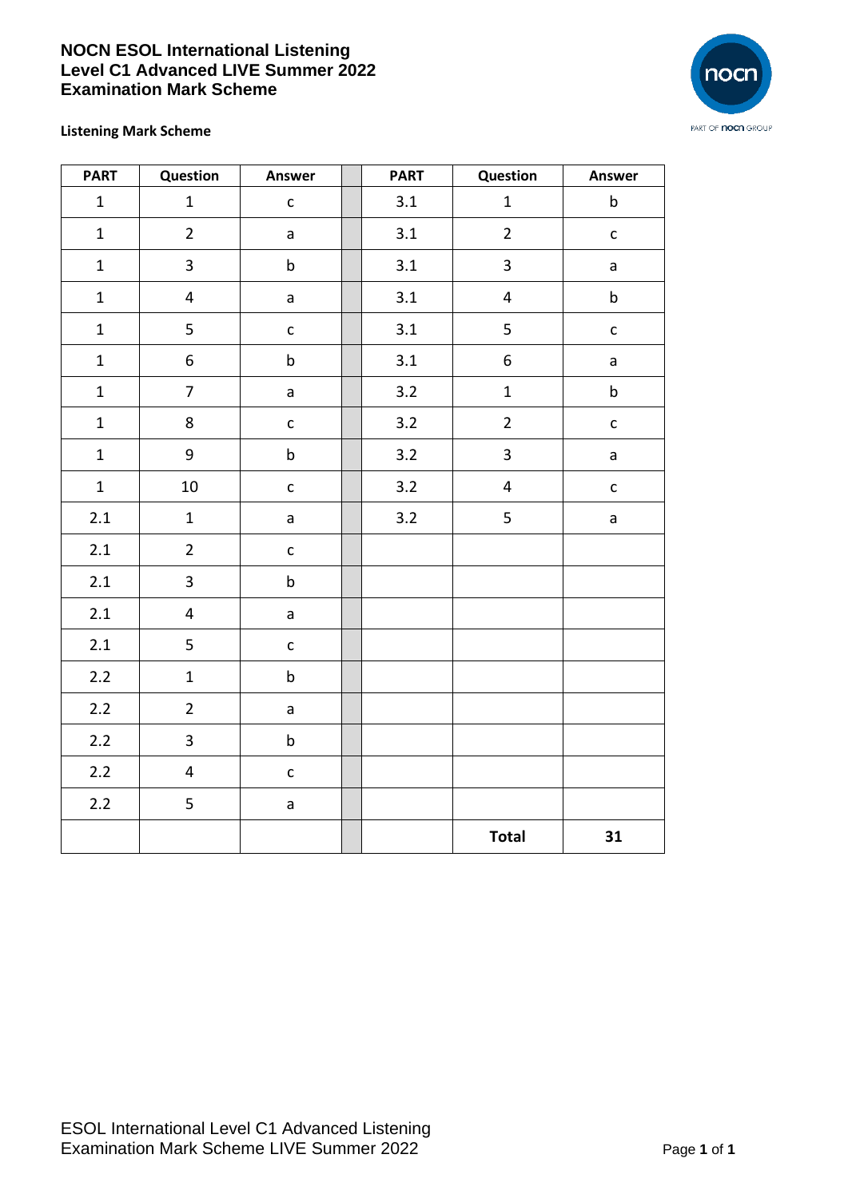## **NOCN ESOL International Listening Level C1 Advanced LIVE Summer 2022 Examination Mark Scheme**



## **Listening Mark Scheme**

| <b>PART</b>  | Question                | Answer       | <b>PART</b> | Question                | Answer       |
|--------------|-------------------------|--------------|-------------|-------------------------|--------------|
| $\mathbf{1}$ | $\mathbf{1}$            | $\mathsf{C}$ | 3.1         | $\mathbf{1}$            | $\mathsf b$  |
| $\mathbf{1}$ | $\overline{2}$          | $\mathsf{a}$ | 3.1         | $\overline{2}$          | $\mathsf{C}$ |
| $\mathbf 1$  | $\mathsf{3}$            | $\sf b$      | 3.1         | $\overline{\mathbf{3}}$ | a            |
| $\mathbf 1$  | $\overline{\mathbf{4}}$ | $\mathsf{a}$ | 3.1         | $\overline{\mathbf{4}}$ | $\mathsf b$  |
| $\mathbf{1}$ | 5                       | $\mathsf{C}$ | 3.1         | 5                       | $\mathsf{C}$ |
| $\mathbf{1}$ | $\boldsymbol{6}$        | $\sf b$      | $3.1\,$     | 6                       | a            |
| $\mathbf{1}$ | $\overline{7}$          | $\mathsf{a}$ | 3.2         | $\mathbf{1}$            | $\sf b$      |
| $\mathbf 1$  | 8                       | $\mathsf{C}$ | 3.2         | $\overline{2}$          | $\mathsf{C}$ |
| $\mathbf{1}$ | 9                       | $\sf b$      | 3.2         | $\overline{\mathbf{3}}$ | a            |
| $\mathbf{1}$ | 10                      | $\mathsf{C}$ | 3.2         | $\overline{\mathbf{4}}$ | $\mathsf{C}$ |
| 2.1          | $\mathbf{1}$            | $\mathsf{a}$ | 3.2         | 5                       | a            |
| 2.1          | $\overline{2}$          | $\mathsf{C}$ |             |                         |              |
| 2.1          | $\overline{\mathbf{3}}$ | $\sf b$      |             |                         |              |
| 2.1          | $\overline{\mathbf{4}}$ | $\mathsf{a}$ |             |                         |              |
| 2.1          | 5                       | $\mathsf{C}$ |             |                         |              |
| $2.2$        | $\mathbf{1}$            | $\sf b$      |             |                         |              |
| $2.2$        | $\overline{2}$          | $\mathsf{a}$ |             |                         |              |
| 2.2          | $\mathsf{3}$            | $\sf b$      |             |                         |              |
| $2.2$        | $\overline{\mathbf{4}}$ | $\mathsf{C}$ |             |                         |              |
| $2.2$        | 5                       | $\mathsf{a}$ |             |                         |              |
|              |                         |              |             | <b>Total</b>            | 31           |